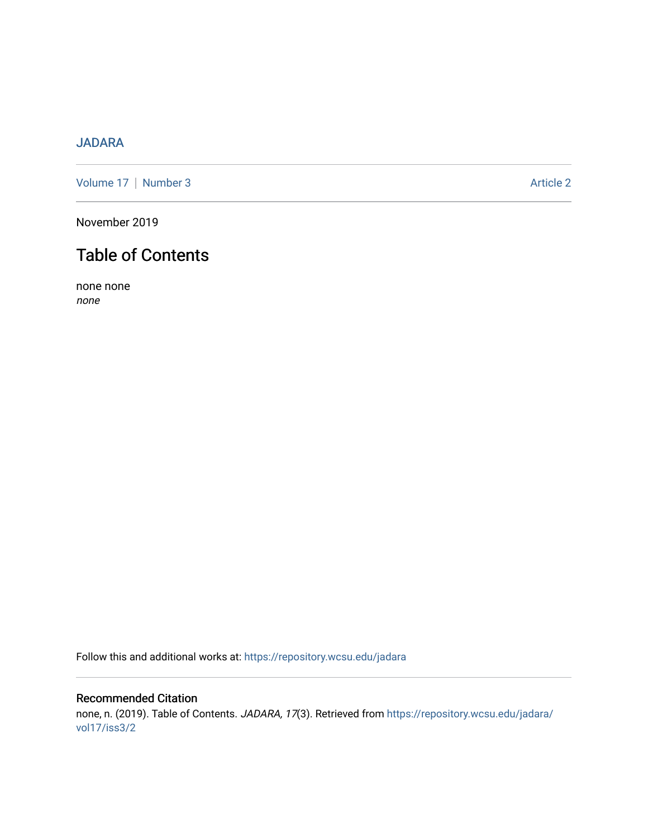## [JADARA](https://repository.wcsu.edu/jadara)

[Volume 17](https://repository.wcsu.edu/jadara/vol17) | [Number 3](https://repository.wcsu.edu/jadara/vol17/iss3) Article 2

November 2019

# Table of Contents

none none none

Follow this and additional works at: [https://repository.wcsu.edu/jadara](https://repository.wcsu.edu/jadara?utm_source=repository.wcsu.edu%2Fjadara%2Fvol17%2Fiss3%2F2&utm_medium=PDF&utm_campaign=PDFCoverPages)

## Recommended Citation none, n. (2019). Table of Contents. JADARA, 17(3). Retrieved from [https://repository.wcsu.edu/jadara/](https://repository.wcsu.edu/jadara/vol17/iss3/2?utm_source=repository.wcsu.edu%2Fjadara%2Fvol17%2Fiss3%2F2&utm_medium=PDF&utm_campaign=PDFCoverPages) [vol17/iss3/2](https://repository.wcsu.edu/jadara/vol17/iss3/2?utm_source=repository.wcsu.edu%2Fjadara%2Fvol17%2Fiss3%2F2&utm_medium=PDF&utm_campaign=PDFCoverPages)